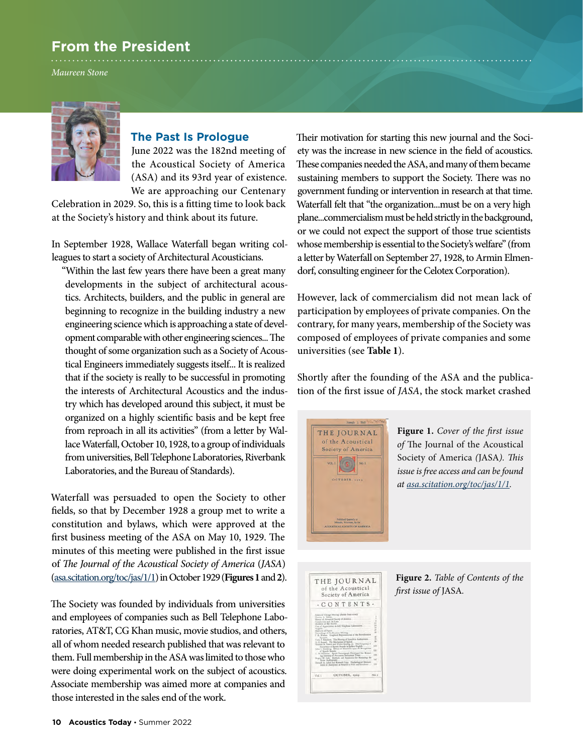# **From the President**

*Maureen Stone*



# **The Past Is Prologue**

June 2022 was the 182nd meeting of the Acoustical Society of America (ASA) and its 93rd year of existence. We are approaching our Centenary

Celebration in 2029. So, this is a fitting time to look back at the Society's history and think about its future.

In September 1928, Wallace Waterfall began writing colleagues to start a society of Architectural Acousticians.

"Within the last few years there have been a great many developments in the subject of architectural acoustics. Architects, builders, and the public in general are beginning to recognize in the building industry a new engineering science which is approaching a state of development comparable with other engineering sciences... The thought of some organization such as a Society of Acoustical Engineers immediately suggests itself... It is realized that if the society is really to be successful in promoting the interests of Architectural Acoustics and the industry which has developed around this subject, it must be organized on a highly scientific basis and be kept free from reproach in all its activities" (from a letter by Wallace Waterfall, October 10, 1928, to a group of individuals from universities, Bell Telephone Laboratories, Riverbank Laboratories, and the Bureau of Standards).

Waterfall was persuaded to open the Society to other fields, so that by December 1928 a group met to write a constitution and bylaws, which were approved at the first business meeting of the ASA on May 10, 1929. The minutes of this meeting were published in the first issue of *The Journal of the Acoustical Society of America* (*JASA*) [\(asa.scitation.org/toc/jas/1/1](http://asa.scitation.org/toc/jas/1/1)) in October 1929 (**Figures 1** and **2**).

The Society was founded by individuals from universities and employees of companies such as Bell Telephone Laboratories, AT&T, CG Khan music, movie studios, and others, all of whom needed research published that was relevant to them. Full membership in the ASA was limited to those who were doing experimental work on the subject of acoustics. Associate membership was aimed more at companies and those interested in the sales end of the work.

Their motivation for starting this new journal and the Society was the increase in new science in the field of acoustics. These companies needed the ASA, and many of them became sustaining members to support the Society. There was no government funding or intervention in research at that time. Waterfall felt that "the organization...must be on a very high plane...commercialism must be held strictly in the background, or we could not expect the support of those true scientists whose membership is essential to the Society's welfare" (from a letter by Waterfall on September 27, 1928, to Armin Elmendorf, consulting engineer for the Celotex Corporation).

However, lack of commercialism did not mean lack of participation by employees of private companies. On the contrary, for many years, membership of the Society was composed of employees of private companies and some universities (see **Table 1**).

Shortly after the founding of the ASA and the publication of the first issue of *JASA*, the stock market crashed



**Figure 1.** *Cover of the first issue of* The Journal of the Acoustical Society of America *(*JASA*). This issue is free access and can be found at [asa.scitation.org/toc/jas/1/1](http://asa.scitation.org/toc/jas/1/1).* 

THE JOURNAL of the Acoustical<br>Society of America CONTENTS. OCTOBER, 1939  $\sqrt{d}$ 

**Figure 2.** *Table of Contents of the first issue of* JASA*.*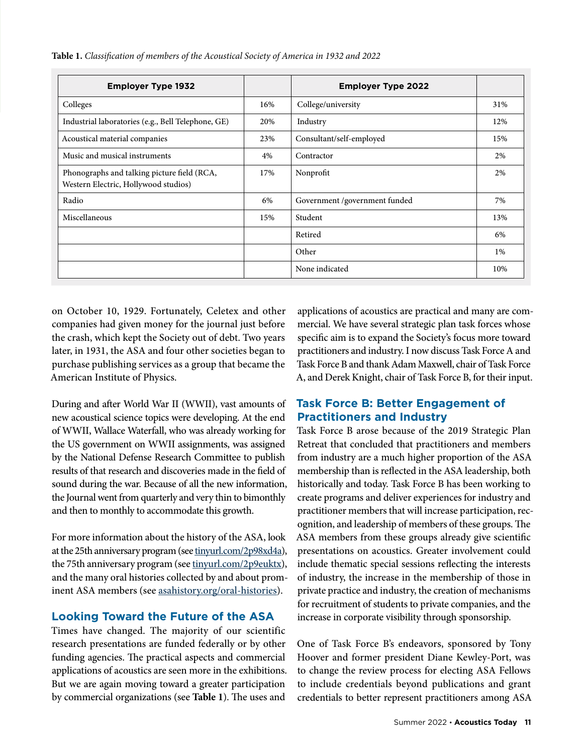|  |  |  | Table 1. Classification of members of the Acoustical Society of America in 1932 and 2022 |  |  |
|--|--|--|------------------------------------------------------------------------------------------|--|--|
|--|--|--|------------------------------------------------------------------------------------------|--|--|

| <b>Employer Type 1932</b>                                                           |     | <b>Employer Type 2022</b>     |     |
|-------------------------------------------------------------------------------------|-----|-------------------------------|-----|
| Colleges                                                                            | 16% | College/university            | 31% |
| Industrial laboratories (e.g., Bell Telephone, GE)                                  | 20% | Industry                      | 12% |
| Acoustical material companies                                                       | 23% | Consultant/self-employed      | 15% |
| Music and musical instruments                                                       | 4%  | Contractor                    | 2%  |
| Phonographs and talking picture field (RCA,<br>Western Electric, Hollywood studios) | 17% | Nonprofit                     | 2%  |
| Radio                                                                               | 6%  | Government /government funded | 7%  |
| Miscellaneous                                                                       | 15% | Student                       | 13% |
|                                                                                     |     | Retired                       | 6%  |
|                                                                                     |     | Other                         | 1%  |
|                                                                                     |     | None indicated                | 10% |

on October 10, 1929. Fortunately, Celetex and other companies had given money for the journal just before the crash, which kept the Society out of debt. Two years later, in 1931, the ASA and four other societies began to purchase publishing services as a group that became the American Institute of Physics.

During and after World War II (WWII), vast amounts of new acoustical science topics were developing. At the end of WWII, Wallace Waterfall, who was already working for the US government on WWII assignments, was assigned by the National Defense Research Committee to publish results of that research and discoveries made in the field of sound during the war. Because of all the new information, the Journal went from quarterly and very thin to bimonthly and then to monthly to accommodate this growth.

For more information about the history of the ASA, look at the 25th anniversary program (see [tinyurl.com/2p98xd4a\)](http://tinyurl.com/2p98xd4a), the 75th anniversary program (see [tinyurl.com/2p9euktx](http://tinyurl.com/2p9euktx)), and the many oral histories collected by and about prominent ASA members (see [asahistory.org/oral-histories\)](http://asahistory.org/oral-histories).

#### **Looking Toward the Future of the ASA**

Times have changed. The majority of our scientific research presentations are funded federally or by other funding agencies. The practical aspects and commercial applications of acoustics are seen more in the exhibitions. But we are again moving toward a greater participation by commercial organizations (see **Table 1**). The uses and

applications of acoustics are practical and many are commercial. We have several strategic plan task forces whose specific aim is to expand the Society's focus more toward practitioners and industry. I now discuss Task Force A and Task Force B and thank Adam Maxwell, chair of Task Force A, and Derek Knight, chair of Task Force B, for their input.

### **Task Force B: Better Engagement of Practitioners and Industry**

Task Force B arose because of the 2019 Strategic Plan Retreat that concluded that practitioners and members from industry are a much higher proportion of the ASA membership than is reflected in the ASA leadership, both historically and today. Task Force B has been working to create programs and deliver experiences for industry and practitioner members that will increase participation, recognition, and leadership of members of these groups. The ASA members from these groups already give scientific presentations on acoustics. Greater involvement could include thematic special sessions reflecting the interests of industry, the increase in the membership of those in private practice and industry, the creation of mechanisms for recruitment of students to private companies, and the increase in corporate visibility through sponsorship.

One of Task Force B's endeavors, sponsored by Tony Hoover and former president Diane Kewley-Port, was to change the review process for electing ASA Fellows to include credentials beyond publications and grant credentials to better represent practitioners among ASA